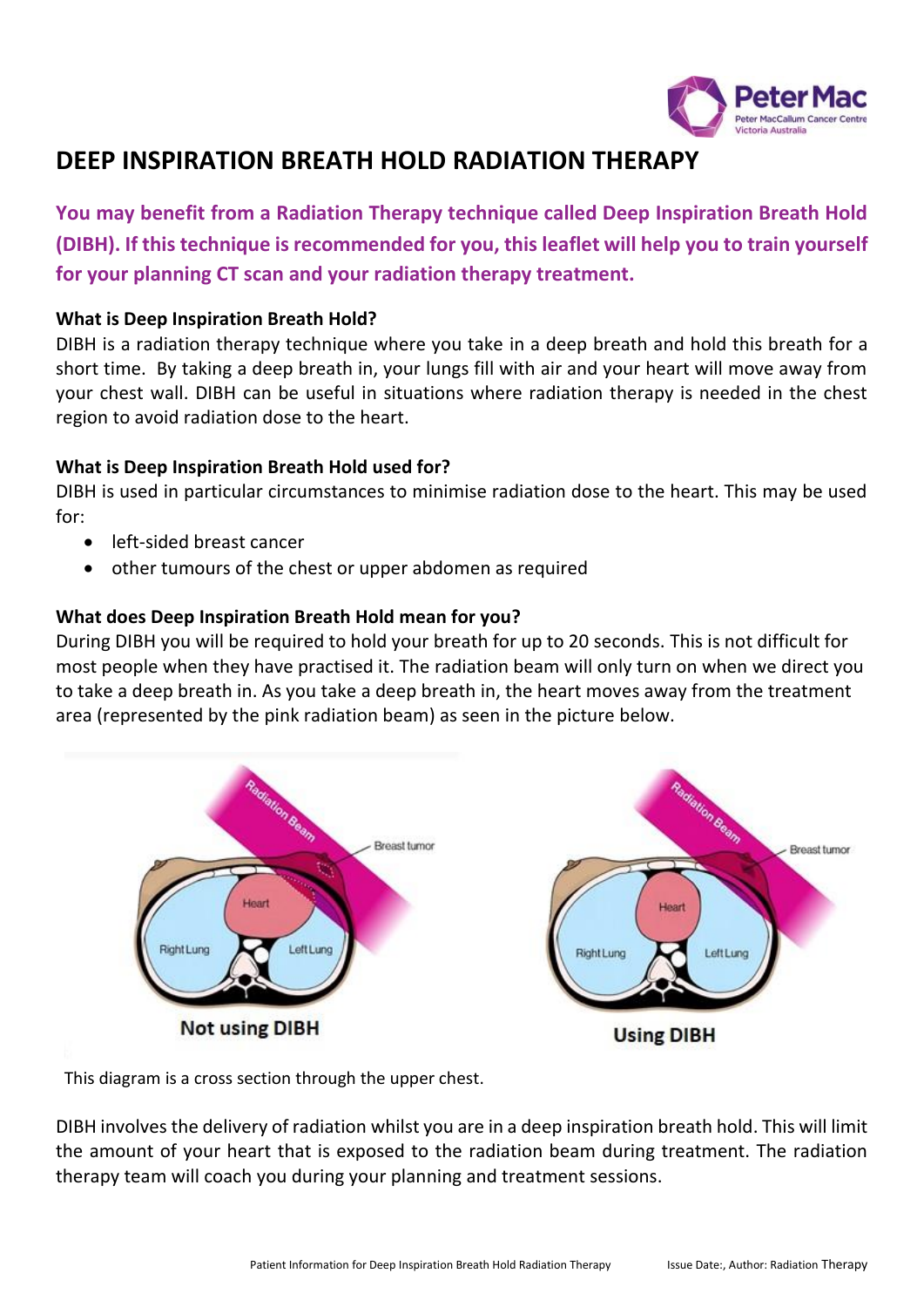

# **DEEP INSPIRATION BREATH HOLD RADIATION THERAPY**

**You may benefit from a Radiation Therapy technique called Deep Inspiration Breath Hold (DIBH). If this technique is recommended for you, this leaflet will help you to train yourself for your planning CT scan and your radiation therapy treatment.**

#### **What is Deep Inspiration Breath Hold?**

DIBH is a radiation therapy technique where you take in a deep breath and hold this breath for a short time. By taking a deep breath in, your lungs fill with air and your heart will move away from your chest wall. DIBH can be useful in situations where radiation therapy is needed in the chest region to avoid radiation dose to the heart.

#### **What is Deep Inspiration Breath Hold used for?**

DIBH is used in particular circumstances to minimise radiation dose to the heart. This may be used for:

- left-sided breast cancer
- other tumours of the chest or upper abdomen as required

### **What does Deep Inspiration Breath Hold mean for you?**

During DIBH you will be required to hold your breath for up to 20 seconds. This is not difficult for most people when they have practised it. The radiation beam will only turn on when we direct you to take a deep breath in. As you take a deep breath in, the heart moves away from the treatment area (represented by the pink radiation beam) as seen in the picture below.



This diagram is a cross section through the upper chest.

DIBH involves the delivery of radiation whilst you are in a deep inspiration breath hold. This will limit the amount of your heart that is exposed to the radiation beam during treatment. The radiation therapy team will coach you during your planning and treatment sessions.